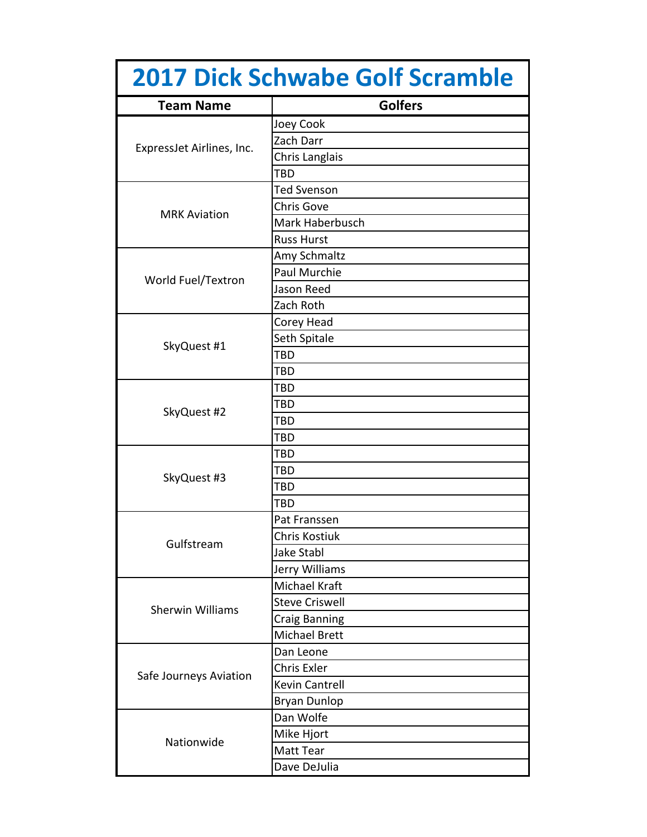| <b>2017 Dick Schwabe Golf Scramble</b> |                       |
|----------------------------------------|-----------------------|
| <b>Team Name</b>                       | <b>Golfers</b>        |
| ExpressJet Airlines, Inc.              | Joey Cook             |
|                                        | Zach Darr             |
|                                        | Chris Langlais        |
|                                        | TBD                   |
|                                        | <b>Ted Svenson</b>    |
| <b>MRK Aviation</b>                    | <b>Chris Gove</b>     |
|                                        | Mark Haberbusch       |
|                                        | <b>Russ Hurst</b>     |
| World Fuel/Textron                     | Amy Schmaltz          |
|                                        | <b>Paul Murchie</b>   |
|                                        | Jason Reed            |
|                                        | Zach Roth             |
|                                        | Corey Head            |
|                                        | Seth Spitale          |
| SkyQuest #1                            | TBD                   |
|                                        | TBD                   |
|                                        | TBD                   |
|                                        | TBD                   |
| SkyQuest #2                            | TBD                   |
|                                        | TBD                   |
|                                        | TBD                   |
|                                        | TBD                   |
| SkyQuest #3                            | TBD                   |
|                                        | <b>TBD</b>            |
| Gulfstream                             | Pat Franssen          |
|                                        | Chris Kostiuk         |
|                                        | <b>Jake Stabl</b>     |
|                                        | Jerry Williams        |
| <b>Sherwin Williams</b>                | Michael Kraft         |
|                                        | <b>Steve Criswell</b> |
|                                        | <b>Craig Banning</b>  |
|                                        | Michael Brett         |
| Safe Journeys Aviation                 | Dan Leone             |
|                                        | Chris Exler           |
|                                        | Kevin Cantrell        |
|                                        | <b>Bryan Dunlop</b>   |
| Nationwide                             | Dan Wolfe             |
|                                        | Mike Hjort            |
|                                        | Matt Tear             |
|                                        | Dave DeJulia          |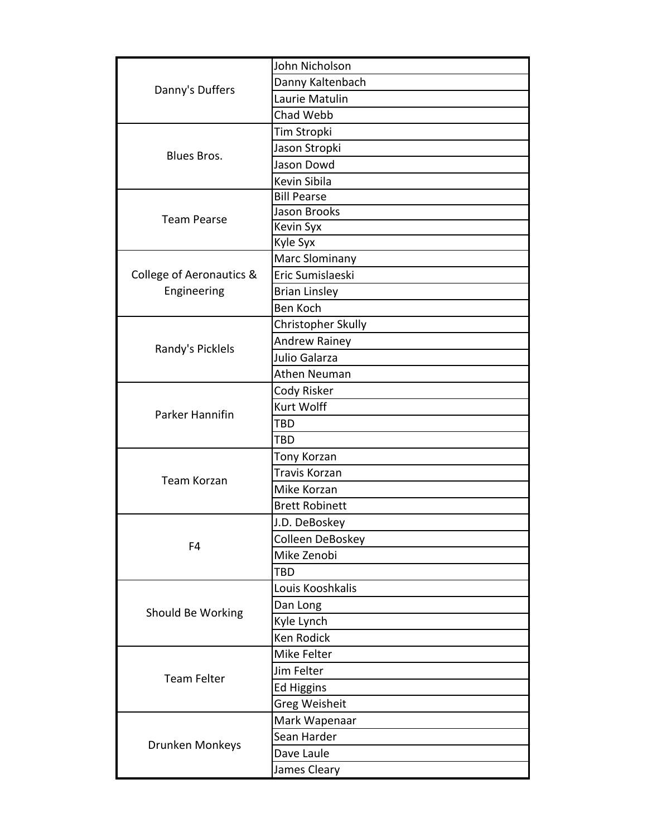| John Nicholson        |
|-----------------------|
| Danny Kaltenbach      |
| Laurie Matulin        |
| Chad Webb             |
| Tim Stropki           |
| Jason Stropki         |
| Jason Dowd            |
| Kevin Sibila          |
| <b>Bill Pearse</b>    |
| Jason Brooks          |
| <b>Kevin Syx</b>      |
| Kyle Syx              |
| Marc Slominany        |
| Eric Sumislaeski      |
| <b>Brian Linsley</b>  |
| <b>Ben Koch</b>       |
| Christopher Skully    |
| <b>Andrew Rainey</b>  |
| Julio Galarza         |
| <b>Athen Neuman</b>   |
| Cody Risker           |
| <b>Kurt Wolff</b>     |
| <b>TBD</b>            |
| <b>TBD</b>            |
| Tony Korzan           |
| Travis Korzan         |
| Mike Korzan           |
| <b>Brett Robinett</b> |
| J.D. DeBoskey         |
| Colleen DeBoskey      |
| Mike Zenobi           |
| TBD                   |
| Louis Kooshkalis      |
| Dan Long              |
| Kyle Lynch            |
| <b>Ken Rodick</b>     |
| Mike Felter           |
| Jim Felter            |
| <b>Ed Higgins</b>     |
| <b>Greg Weisheit</b>  |
| Mark Wapenaar         |
| Sean Harder           |
| Dave Laule            |
| James Cleary          |
|                       |